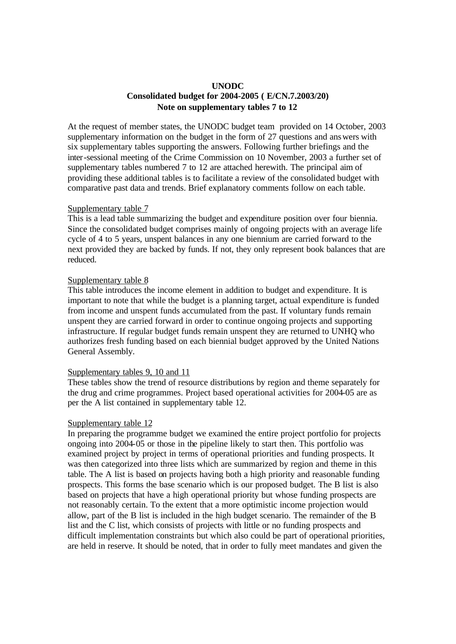### **UNODC Consolidated budget for 2004-2005 ( E/CN.7.2003/20) Note on supplementary tables 7 to 12**

At the request of member states, the UNODC budget team provided on 14 October, 2003 supplementary information on the budget in the form of 27 questions and answers with six supplementary tables supporting the answers. Following further briefings and the inter-sessional meeting of the Crime Commission on 10 November, 2003 a further set of supplementary tables numbered 7 to 12 are attached herewith. The principal aim of providing these additional tables is to facilitate a review of the consolidated budget with comparative past data and trends. Brief explanatory comments follow on each table.

#### Supplementary table 7

This is a lead table summarizing the budget and expenditure position over four biennia. Since the consolidated budget comprises mainly of ongoing projects with an average life cycle of 4 to 5 years, unspent balances in any one biennium are carried forward to the next provided they are backed by funds. If not, they only represent book balances that are reduced.

### Supplementary table 8

This table introduces the income element in addition to budget and expenditure. It is important to note that while the budget is a planning target, actual expenditure is funded from income and unspent funds accumulated from the past. If voluntary funds remain unspent they are carried forward in order to continue ongoing projects and supporting infrastructure. If regular budget funds remain unspent they are returned to UNHQ who authorizes fresh funding based on each biennial budget approved by the United Nations General Assembly.

### Supplementary tables 9, 10 and 11

These tables show the trend of resource distributions by region and theme separately for the drug and crime programmes. Project based operational activities for 2004-05 are as per the A list contained in supplementary table 12.

#### Supplementary table 12

In preparing the programme budget we examined the entire project portfolio for projects ongoing into 2004-05 or those in the pipeline likely to start then. This portfolio was examined project by project in terms of operational priorities and funding prospects. It was then categorized into three lists which are summarized by region and theme in this table. The A list is based on projects having both a high priority and reasonable funding prospects. This forms the base scenario which is our proposed budget. The B list is also based on projects that have a high operational priority but whose funding prospects are not reasonably certain. To the extent that a more optimistic income projection would allow, part of the B list is included in the high budget scenario. The remainder of the B list and the C list, which consists of projects with little or no funding prospects and difficult implementation constraints but which also could be part of operational priorities, are held in reserve. It should be noted, that in order to fully meet mandates and given the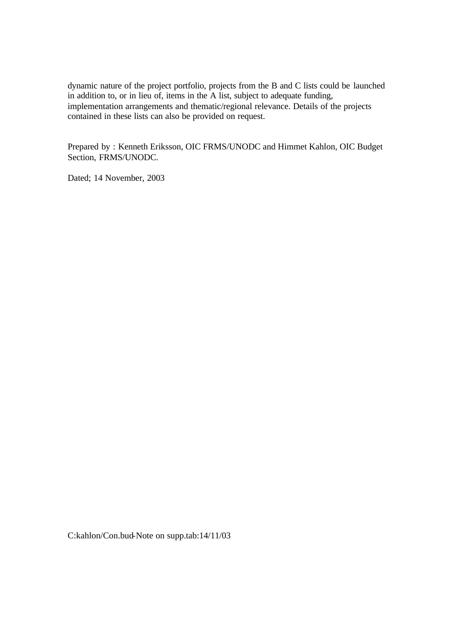dynamic nature of the project portfolio, projects from the B and C lists could be launched in addition to, or in lieu of, items in the A list, subject to adequate funding, implementation arrangements and thematic/regional relevance. Details of the projects contained in these lists can also be provided on request.

Prepared by : Kenneth Eriksson, OIC FRMS/UNODC and Himmet Kahlon, OIC Budget Section, FRMS/UNODC.

Dated; 14 November, 2003

C:kahlon/Con.bud-Note on supp.tab:14/11/03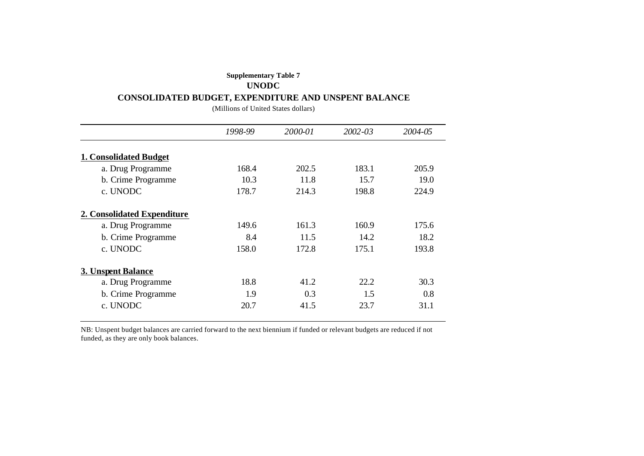### **Supplementary Table 7**

### **UNODC**

### **CONSOLIDATED BUDGET, EXPENDITURE AND UNSPENT BALANCE**

(Millions of United States dollars)

|                               | 1998-99 | 2000-01 | $2002 - 03$ | 2004-05 |
|-------------------------------|---------|---------|-------------|---------|
| <b>1. Consolidated Budget</b> |         |         |             |         |
| a. Drug Programme             | 168.4   | 202.5   | 183.1       | 205.9   |
| b. Crime Programme            | 10.3    | 11.8    | 15.7        | 19.0    |
| c. UNODC                      | 178.7   | 214.3   | 198.8       | 224.9   |
| 2. Consolidated Expenditure   |         |         |             |         |
| a. Drug Programme             | 149.6   | 161.3   | 160.9       | 175.6   |
| b. Crime Programme            | 8.4     | 11.5    | 14.2        | 18.2    |
| c. UNODC                      | 158.0   | 172.8   | 175.1       | 193.8   |
| <b>3. Unspent Balance</b>     |         |         |             |         |
| a. Drug Programme             | 18.8    | 41.2    | 22.2        | 30.3    |
| b. Crime Programme            | 1.9     | 0.3     | 1.5         | 0.8     |
| c. UNODC                      | 20.7    | 41.5    | 23.7        | 31.1    |

NB: Unspent budget balances are carried forward to the next biennium if funded or relevant budgets are reduced if not funded, as they are only book balances.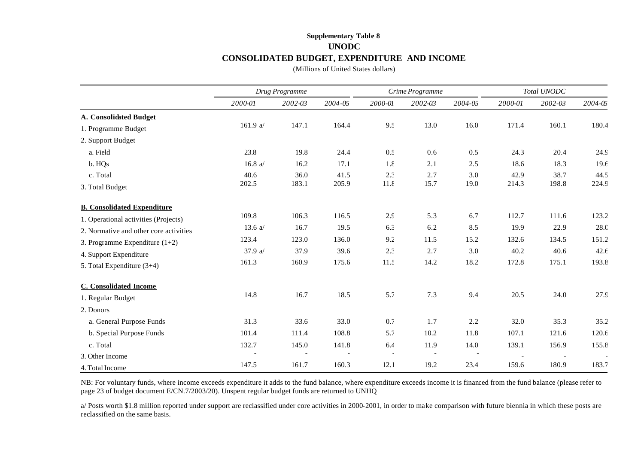# **Supplementary Table 8 UNODC CONSOLIDATED BUDGET, EXPENDITURE AND INCOME**

(Millions of United States dollars)

|                                        | Drug Programme |         |         |         | Crime Programme |         | Total UNODC |         |         |  |
|----------------------------------------|----------------|---------|---------|---------|-----------------|---------|-------------|---------|---------|--|
|                                        | 2000-01        | 2002-03 | 2004-05 | 2000-01 | 2002-03         | 2004-05 | 2000-01     | 2002-03 | 2004-05 |  |
| <b>A. Consolidated Budget</b>          |                |         |         |         |                 |         |             |         |         |  |
| 1. Programme Budget                    | 161.9 $a/$     | 147.1   | 164.4   | 9.5     | 13.0            | 16.0    | 171.4       | 160.1   | 180.4   |  |
| 2. Support Budget                      |                |         |         |         |                 |         |             |         |         |  |
| a. Field                               | 23.8           | 19.8    | 24.4    | 0.5     | 0.6             | 0.5     | 24.3        | 20.4    | 24.9    |  |
| b. HQs                                 | 16.8 $a/$      | 16.2    | 17.1    | 1.8     | 2.1             | 2.5     | 18.6        | 18.3    | 19.6    |  |
| c. Total                               | 40.6           | 36.0    | 41.5    | 2.3     | 2.7             | 3.0     | 42.9        | 38.7    | 44.5    |  |
| 3. Total Budget                        | 202.5          | 183.1   | 205.9   | 11.8    | 15.7            | 19.0    | 214.3       | 198.8   | 224.9   |  |
| <b>B. Consolidated Expenditure</b>     |                |         |         |         |                 |         |             |         |         |  |
| 1. Operational activities (Projects)   | 109.8          | 106.3   | 116.5   | 2.9     | 5.3             | 6.7     | 112.7       | 111.6   | 123.2   |  |
| 2. Normative and other core activities | 13.6 $a/$      | 16.7    | 19.5    | 6.3     | 6.2             | 8.5     | 19.9        | 22.9    | 28.0    |  |
| 3. Programme Expenditure $(1+2)$       | 123.4          | 123.0   | 136.0   | 9.2     | 11.5            | 15.2    | 132.6       | 134.5   | 151.2   |  |
| 4. Support Expenditure                 | 37.9 a/        | 37.9    | 39.6    | 2.3     | 2.7             | 3.0     | 40.2        | 40.6    | 42.6    |  |
| 5. Total Expenditure (3+4)             | 161.3          | 160.9   | 175.6   | 11.5    | 14.2            | 18.2    | 172.8       | 175.1   | 193.8   |  |
| <b>C.</b> Consolidated Income          |                |         |         |         |                 |         |             |         |         |  |
| 1. Regular Budget                      | 14.8           | 16.7    | 18.5    | 5.7     | 7.3             | 9.4     | 20.5        | 24.0    | 27.9    |  |
| 2. Donors                              |                |         |         |         |                 |         |             |         |         |  |
| a. General Purpose Funds               | 31.3           | 33.6    | 33.0    | 0.7     | 1.7             | 2.2     | 32.0        | 35.3    | 35.2    |  |
| b. Special Purpose Funds               | 101.4          | 111.4   | 108.8   | 5.7     | 10.2            | 11.8    | 107.1       | 121.6   | 120.6   |  |
| c. Total                               | 132.7          | 145.0   | 141.8   | 6.4     | 11.9            | 14.0    | 139.1       | 156.9   | 155.8   |  |
| 3. Other Income                        |                |         |         |         |                 |         |             |         |         |  |
| 4. Total Income                        | 147.5          | 161.7   | 160.3   | 12.1    | 19.2            | 23.4    | 159.6       | 180.9   | 183.7   |  |

NB: For voluntary funds, where income exceeds expenditure it adds to the fund balance, where expenditure exceeds income it is financed from the fund balance (please refer to page 23 of budget document E/CN.7/2003/20). Unspent regular budget funds are returned to UNHQ

a/ Posts worth \$1.8 million reported under support are reclassified under core activities in 2000-2001, in order to make comparison with future biennia in which these posts are reclassified on the same basis.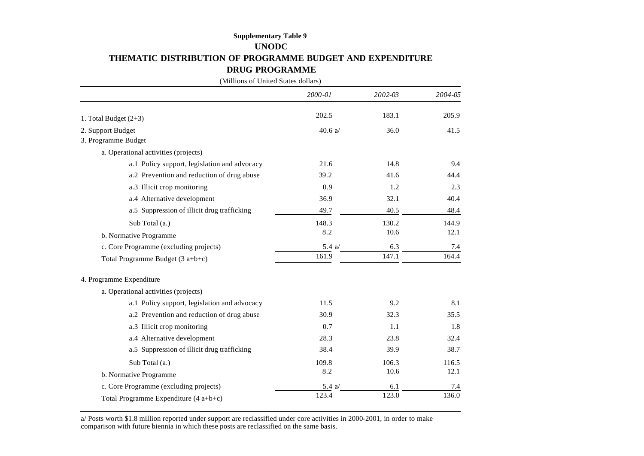## **Supplementary Table 9 UNODC THEMATIC DISTRIBUTION OF PROGRAMME BUDGET AND EXPENDITURE DRUG PROGRAMME**

(Millions of United States dollars) *2000-01 2002-03 2004-05* 1. Total Budget (2+3) 202.5 183.1 205.9 2. Support Budget  $40.6 \text{ a}$   $36.0 \text{ a}$   $41.5 \text{ a}$ 3. Programme Budget a. Operational activities (projects) a.1 Policy support, legislation and advocacy 21.6 14.8 9.4 9.4 a.2 Prevention and reduction of drug abuse 39.2 41.6 44.4 a.3 Illicit crop monitoring 0.9 1.2 2.3 a.4 Alternative development 36.9 32.1 40.4 a.5 Suppression of illicit drug trafficking 49.7 40.5 48.4 Sub Total (a.) 148.3 130.2 144.9 b. Normative Programme 8.2 10.6 12.1 c. Core Programme (excluding projects) 5.4 a/ 6.3 7.4 Total Programme Budget (3 a+b+c)  $161.9$  161.9 147.1 164.4 4. Programme Expenditure a. Operational activities (projects) a.1 Policy support, legislation and advocacy 11.5 9.2 8.1 a.2 Prevention and reduction of drug abuse 30.9 32.3 35.5 a.3 Illicit crop monitoring 0.7 1.1 1.8 a.4 Alternative development 28.3 23.8 32.4 a.5 Suppression of illicit drug trafficking 38.4 39.9 38.7 Sub Total (a.) 109.8 106.3 116.5 b. Normative Programme 8.2 10.6 12.1 c. Core Programme (excluding projects) 5.4 a/ 6.1 7.4 Total Programme Expenditure  $(4 a+b+c)$  123.4 123.0 123.0 136.0

a/ Posts worth \$1.8 million reported under support are reclassified under core activities in 2000-2001, in order to make comparison with future biennia in which these posts are reclassified on the same basis.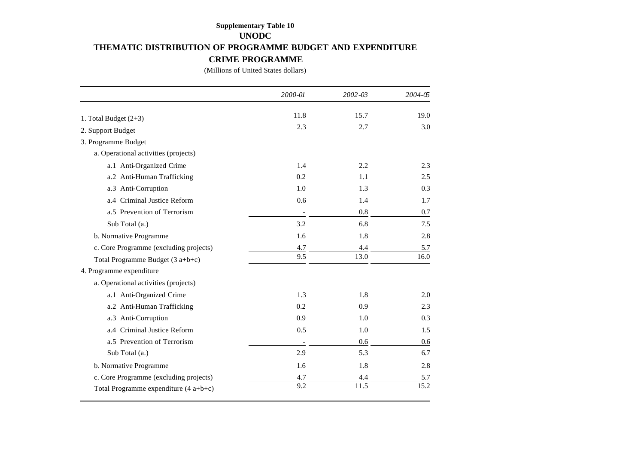# **Supplementary Table 10 UNODC THEMATIC DISTRIBUTION OF PROGRAMME BUDGET AND EXPENDITURE CRIME PROGRAMME**

(Millions of United States dollars)

|                                        | 2000-01                  | $2002 - 03$ | 2004-05 |
|----------------------------------------|--------------------------|-------------|---------|
| 1. Total Budget $(2+3)$                | 11.8                     | 15.7        | 19.0    |
|                                        | 2.3                      | 2.7         | 3.0     |
| 2. Support Budget                      |                          |             |         |
| 3. Programme Budget                    |                          |             |         |
| a. Operational activities (projects)   |                          |             |         |
| a.1 Anti-Organized Crime               | 1.4                      | 2.2         | 2.3     |
| a.2 Anti-Human Trafficking             | 0.2                      | 1.1         | 2.5     |
| a.3 Anti-Corruption                    | 1.0                      | 1.3         | 0.3     |
| a.4 Criminal Justice Reform            | 0.6                      | 1.4         | 1.7     |
| a.5 Prevention of Terrorism            | $\overline{\phantom{0}}$ | 0.8         | 0.7     |
| Sub Total (a.)                         | 3.2                      | 6.8         | 7.5     |
| b. Normative Programme                 | 1.6                      | 1.8         | 2.8     |
| c. Core Programme (excluding projects) | 4.7                      | 4.4         | 5.7     |
| Total Programme Budget $(3 a+b+c)$     | 9.5                      | 13.0        | 16.0    |
| 4. Programme expenditure               |                          |             |         |
| a. Operational activities (projects)   |                          |             |         |
| a.1 Anti-Organized Crime               | 1.3                      | 1.8         | 2.0     |
| a.2 Anti-Human Trafficking             | 0.2                      | 0.9         | 2.3     |
| a.3 Anti-Corruption                    | 0.9                      | 1.0         | 0.3     |
| a.4 Criminal Justice Reform            | 0.5                      | 1.0         | 1.5     |
| a.5 Prevention of Terrorism            |                          | 0.6         | 0.6     |
| Sub Total (a.)                         | 2.9                      | 5.3         | 6.7     |
| b. Normative Programme                 | 1.6                      | 1.8         | 2.8     |
| c. Core Programme (excluding projects) | 4.7                      | 4.4         | 5.7     |
| Total Programme expenditure $(4a+b+c)$ | 9.2                      | 11.5        | 15.2    |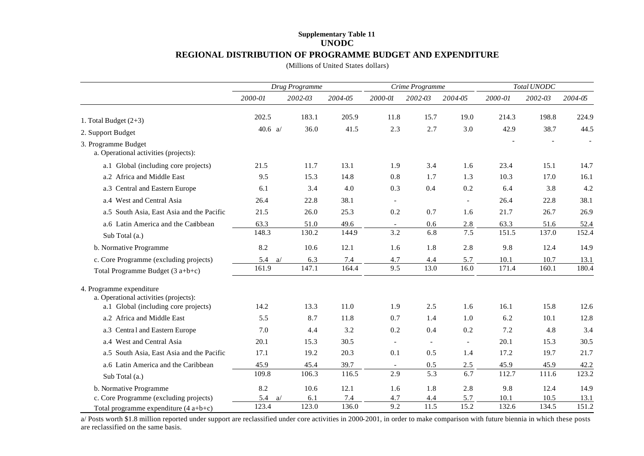### **Supplementary Table 11 UNODC REGIONAL DISTRIBUTION OF PROGRAMME BUDGET AND EXPENDITURE**

(Millions of United States dollars)

|                                                                   | Drug Programme |         |         |                | Crime Programme          |                          | Total UNODC |         |         |  |
|-------------------------------------------------------------------|----------------|---------|---------|----------------|--------------------------|--------------------------|-------------|---------|---------|--|
|                                                                   | 2000-01        | 2002-03 | 2004-05 | 2000-01        | 2002-03                  | 2004-05                  | 2000-01     | 2002-03 | 2004-05 |  |
| 1. Total Budget $(2+3)$                                           | 202.5          | 183.1   | 205.9   | 11.8           | 15.7                     | 19.0                     | 214.3       | 198.8   | 224.9   |  |
| 2. Support Budget                                                 | 40.6 $a/$      | 36.0    | 41.5    | 2.3            | 2.7                      | 3.0                      | 42.9        | 38.7    | 44.5    |  |
| 3. Programme Budget<br>a. Operational activities (projects):      |                |         |         |                |                          |                          |             |         |         |  |
| a.1 Global (including core projects)                              | 21.5           | 11.7    | 13.1    | 1.9            | 3.4                      | 1.6                      | 23.4        | 15.1    | 14.7    |  |
| a.2 Africa and Middle East                                        | 9.5            | 15.3    | 14.8    | 0.8            | 1.7                      | 1.3                      | 10.3        | 17.0    | 16.1    |  |
| a.3 Central and Eastern Europe                                    | 6.1            | 3.4     | 4.0     | 0.3            | 0.4                      | 0.2                      | 6.4         | 3.8     | 4.2     |  |
| a.4 West and Central Asia                                         | 26.4           | 22.8    | 38.1    |                |                          | $\overline{\phantom{a}}$ | 26.4        | 22.8    | 38.1    |  |
| a.5 South Asia, East Asia and the Pacific                         | 21.5           | 26.0    | 25.3    | 0.2            | 0.7                      | 1.6                      | 21.7        | 26.7    | 26.9    |  |
| a.6 Latin America and the Caribbean                               | 63.3           | 51.0    | 49.6    | $\sim$         | 0.6                      | 2.8                      | 63.3        | 51.6    | 52.4    |  |
| Sub Total (a.)                                                    | 148.3          | 130.2   | 1449    | 3.2            | 6.8                      | 7.5                      | 151.5       | 137.0   | 152.4   |  |
| b. Normative Programme                                            | 8.2            | 10.6    | 12.1    | 1.6            | 1.8                      | 2.8                      | 9.8         | 12.4    | 14.9    |  |
| c. Core Programme (excluding projects)                            | 5.4<br>a/      | 6.3     | 7.4     | 4.7            | 4.4                      | 5.7                      | 10.1        | 10.7    | 13.1    |  |
| Total Programme Budget $(3 a+b+c)$                                | 161.9          | 147.1   | 164.4   | 9.5            | 13.0                     | 16.0                     | 171.4       | 160.1   | 180.4   |  |
| 4. Programme expenditure<br>a. Operational activities (projects): |                |         |         |                |                          |                          |             |         |         |  |
| a.1 Global (including core projects)                              | 14.2           | 13.3    | 11.0    | 1.9            | 2.5                      | 1.6                      | 16.1        | 15.8    | 12.6    |  |
| a.2 Africa and Middle East                                        | 5.5            | 8.7     | 11.8    | 0.7            | 1.4                      | 1.0                      | 6.2         | 10.1    | 12.8    |  |
| a.3 Central and Eastern Europe                                    | 7.0            | 4.4     | 3.2     | 0.2            | 0.4                      | 0.2                      | 7.2         | 4.8     | 3.4     |  |
| a.4 West and Central Asia                                         | 20.1           | 15.3    | 30.5    | $\blacksquare$ | $\overline{\phantom{a}}$ | $\overline{\phantom{a}}$ | 20.1        | 15.3    | 30.5    |  |
| a.5 South Asia, East Asia and the Pacific                         | 17.1           | 19.2    | 20.3    | 0.1            | 0.5                      | 1.4                      | 17.2        | 19.7    | 21.7    |  |
| a.6 Latin America and the Caribbean                               | 45.9           | 45.4    | 39.7    | $\blacksquare$ | 0.5                      | 2.5                      | 45.9        | 45.9    | 42.2    |  |
| Sub Total (a.)                                                    | 109.8          | 106.3   | 116.5   | 2.9            | 5.3                      | 6.7                      | 112.7       | 111.6   | 123.2   |  |
| b. Normative Programme                                            | 8.2            | 10.6    | 12.1    | 1.6            | 1.8                      | 2.8                      | 9.8         | 12.4    | 14.9    |  |
| c. Core Programme (excluding projects)                            | 5.4<br>a/      | 6.1     | 7.4     | 4.7            | 4.4                      | 5.7                      | 10.1        | 10.5    | 13.1    |  |
| Total programme expenditure (4 a+b+c)                             | 123.4          | 123.0   | 136.0   | 9.2            | 11.5                     | 15.2                     | 132.6       | 134.5   | 151.2   |  |

a/ Posts worth \$1.8 million reported under support are reclassified under core activities in 2000-2001, in order to make comparison with future biennia in which these posts are reclassified on the same basis.